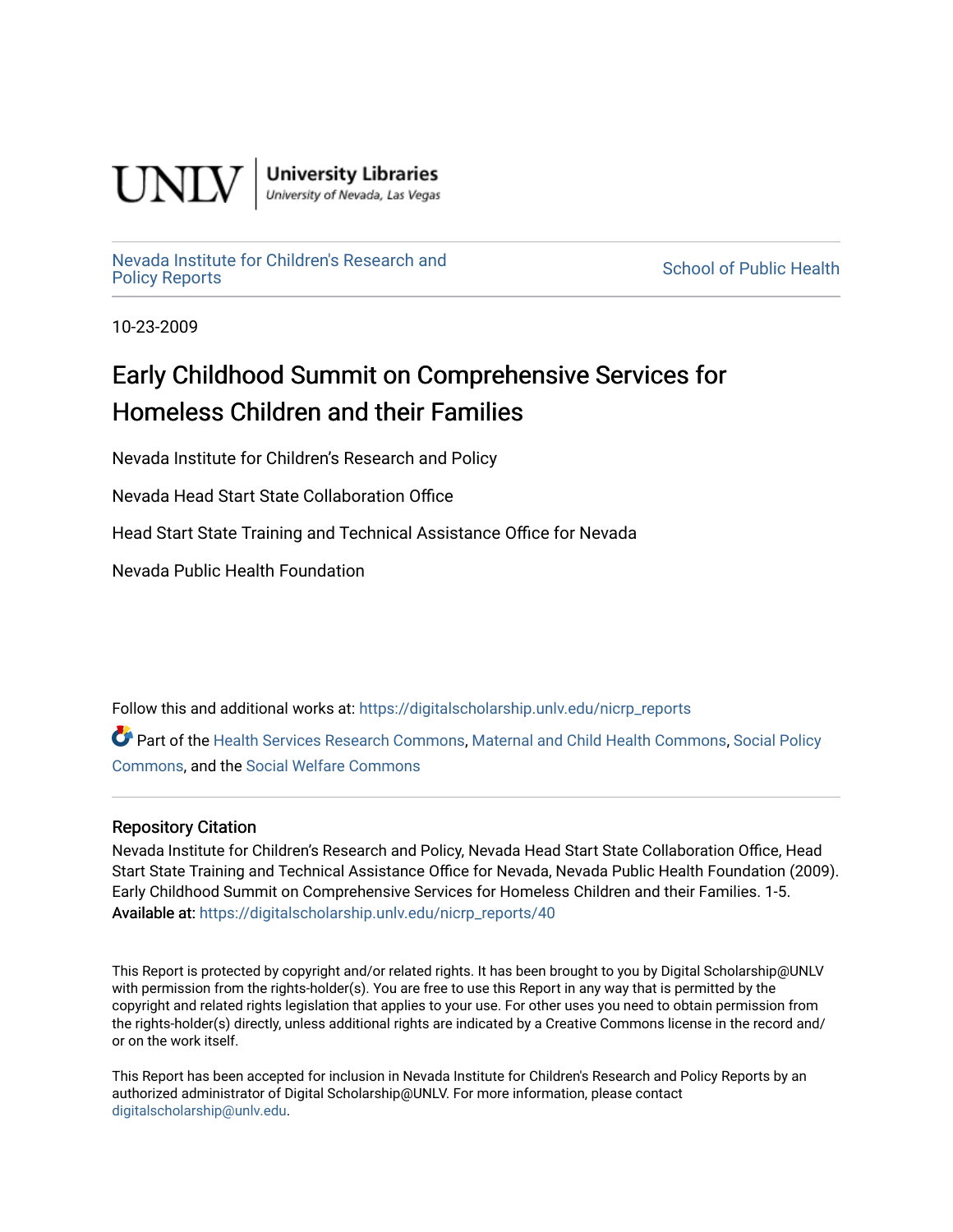

**University Libraries**<br>University of Nevada, Las Vegas

# [Nevada Institute for Children's Research and](https://digitalscholarship.unlv.edu/nicrp_reports)

**School of Public Health** 

10-23-2009

## Early Childhood Summit on Comprehensive Services for Homeless Children and their Families

Nevada Institute for Children's Research and Policy

Nevada Head Start State Collaboration Office

Head Start State Training and Technical Assistance Office for Nevada

Nevada Public Health Foundation

Follow this and additional works at: [https://digitalscholarship.unlv.edu/nicrp\\_reports](https://digitalscholarship.unlv.edu/nicrp_reports?utm_source=digitalscholarship.unlv.edu%2Fnicrp_reports%2F40&utm_medium=PDF&utm_campaign=PDFCoverPages)

Part of the [Health Services Research Commons,](http://network.bepress.com/hgg/discipline/816?utm_source=digitalscholarship.unlv.edu%2Fnicrp_reports%2F40&utm_medium=PDF&utm_campaign=PDFCoverPages) [Maternal and Child Health Commons](http://network.bepress.com/hgg/discipline/745?utm_source=digitalscholarship.unlv.edu%2Fnicrp_reports%2F40&utm_medium=PDF&utm_campaign=PDFCoverPages), [Social Policy](http://network.bepress.com/hgg/discipline/1030?utm_source=digitalscholarship.unlv.edu%2Fnicrp_reports%2F40&utm_medium=PDF&utm_campaign=PDFCoverPages)  [Commons](http://network.bepress.com/hgg/discipline/1030?utm_source=digitalscholarship.unlv.edu%2Fnicrp_reports%2F40&utm_medium=PDF&utm_campaign=PDFCoverPages), and the [Social Welfare Commons](http://network.bepress.com/hgg/discipline/401?utm_source=digitalscholarship.unlv.edu%2Fnicrp_reports%2F40&utm_medium=PDF&utm_campaign=PDFCoverPages)

#### Repository Citation

Nevada Institute for Children's Research and Policy, Nevada Head Start State Collaboration Office, Head Start State Training and Technical Assistance Office for Nevada, Nevada Public Health Foundation (2009). Early Childhood Summit on Comprehensive Services for Homeless Children and their Families. 1-5. Available at: [https://digitalscholarship.unlv.edu/nicrp\\_reports/40](https://digitalscholarship.unlv.edu/nicrp_reports/40) 

This Report is protected by copyright and/or related rights. It has been brought to you by Digital Scholarship@UNLV with permission from the rights-holder(s). You are free to use this Report in any way that is permitted by the copyright and related rights legislation that applies to your use. For other uses you need to obtain permission from the rights-holder(s) directly, unless additional rights are indicated by a Creative Commons license in the record and/ or on the work itself.

This Report has been accepted for inclusion in Nevada Institute for Children's Research and Policy Reports by an authorized administrator of Digital Scholarship@UNLV. For more information, please contact [digitalscholarship@unlv.edu](mailto:digitalscholarship@unlv.edu).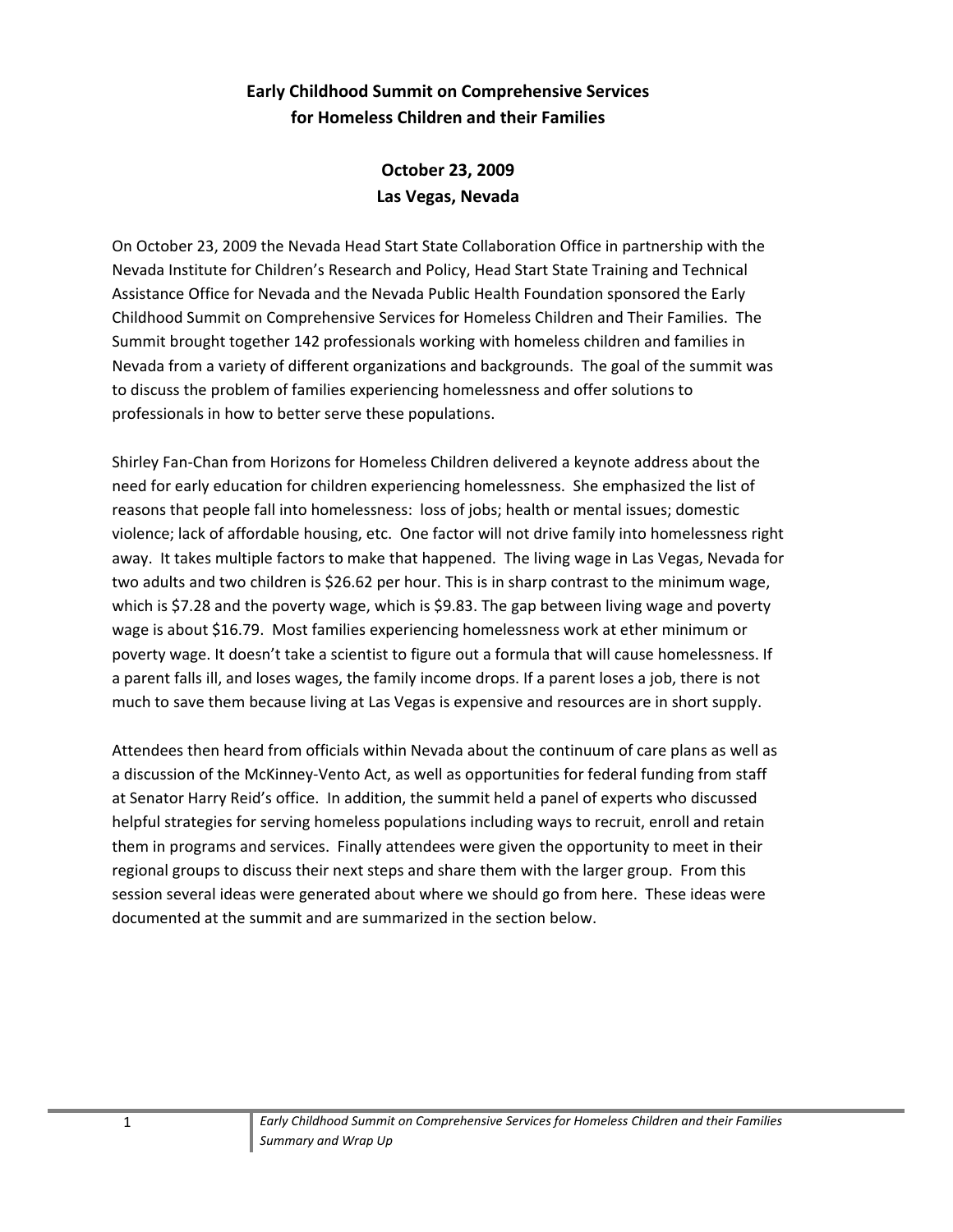### **Early Childhood Summit on Comprehensive Services for Homeless Children and their Families**

**October 23, 2009 Las Vegas, Nevada**

On October 23, 2009 the Nevada Head Start State Collaboration Office in partnership with the Nevada Institute for Children's Research and Policy, Head Start State Training and Technical Assistance Office for Nevada and the Nevada Public Health Foundation sponsored the Early Childhood Summit on Comprehensive Services for Homeless Children and Their Families. The Summit brought together 142 professionals working with homeless children and families in Nevada from a variety of different organizations and backgrounds. The goal of the summit was to discuss the problem of families experiencing homelessness and offer solutions to professionals in how to better serve these populations.

Shirley Fan‐Chan from Horizons for Homeless Children delivered a keynote address about the need for early education for children experiencing homelessness. She emphasized the list of reasons that people fall into homelessness: loss of jobs; health or mental issues; domestic violence; lack of affordable housing, etc. One factor will not drive family into homelessness right away. It takes multiple factors to make that happened. The living wage in Las Vegas, Nevada for two adults and two children is \$26.62 per hour. This is in sharp contrast to the minimum wage, which is \$7.28 and the poverty wage, which is \$9.83. The gap between living wage and poverty wage is about \$16.79. Most families experiencing homelessness work at ether minimum or poverty wage. It doesn't take a scientist to figure out a formula that will cause homelessness. If a parent falls ill, and loses wages, the family income drops. If a parent loses a job, there is not much to save them because living at Las Vegas is expensive and resources are in short supply.

Attendees then heard from officials within Nevada about the continuum of care plans as well as a discussion of the McKinney‐Vento Act, as well as opportunities for federal funding from staff at Senator Harry Reid's office. In addition, the summit held a panel of experts who discussed helpful strategies for serving homeless populations including ways to recruit, enroll and retain them in programs and services. Finally attendees were given the opportunity to meet in their regional groups to discuss their next steps and share them with the larger group. From this session several ideas were generated about where we should go from here. These ideas were documented at the summit and are summarized in the section below.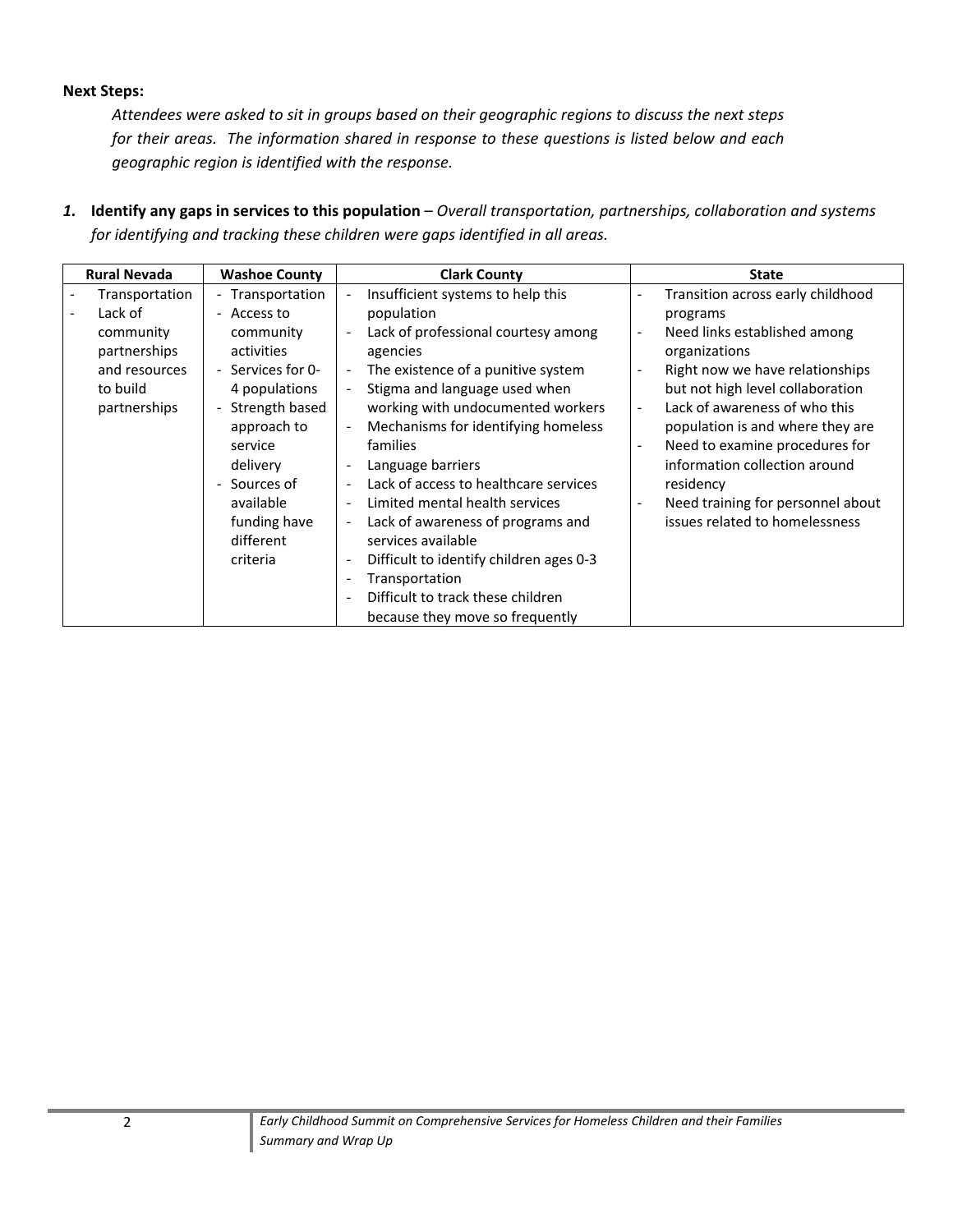#### **Next Steps:**

*Attendees were asked to sit in groups based on their geographic regions to discuss the next steps for their areas. The information shared in response to these questions is listed below and each geographic region is identified with the response.*

*1.* **Identify any gaps in services to this population** – *Overall transportation, partnerships, collaboration and systems for identifying and tracking these children were gaps identified in all areas.*

| <b>Rural Nevada</b><br><b>Washoe County</b>                                                         |                                                                                                                                                                                                                              | <b>Clark County</b>                                                                                                                                                                                                                                                                                                                                                                                                                                                                                                                                                                                                                                                                                                                                                                                                                                           | <b>State</b>                                                                                                                                                                                                                                                                                                                                                                                                                                              |  |
|-----------------------------------------------------------------------------------------------------|------------------------------------------------------------------------------------------------------------------------------------------------------------------------------------------------------------------------------|---------------------------------------------------------------------------------------------------------------------------------------------------------------------------------------------------------------------------------------------------------------------------------------------------------------------------------------------------------------------------------------------------------------------------------------------------------------------------------------------------------------------------------------------------------------------------------------------------------------------------------------------------------------------------------------------------------------------------------------------------------------------------------------------------------------------------------------------------------------|-----------------------------------------------------------------------------------------------------------------------------------------------------------------------------------------------------------------------------------------------------------------------------------------------------------------------------------------------------------------------------------------------------------------------------------------------------------|--|
| Transportation<br>Lack of<br>community<br>partnerships<br>and resources<br>to build<br>partnerships | - Transportation<br>- Access to<br>community<br>activities<br>- Services for 0-<br>4 populations<br>Strength based<br>approach to<br>service<br>delivery<br>Sources of<br>available<br>funding have<br>different<br>criteria | Insufficient systems to help this<br>$\overline{\phantom{a}}$<br>population<br>Lack of professional courtesy among<br>$\overline{\phantom{a}}$<br>agencies<br>The existence of a punitive system<br>$\overline{\phantom{a}}$<br>Stigma and language used when<br>working with undocumented workers<br>Mechanisms for identifying homeless<br>$\overline{\phantom{a}}$<br>families<br>Language barriers<br>$\overline{\phantom{a}}$<br>Lack of access to healthcare services<br>Limited mental health services<br>$\overline{\phantom{a}}$<br>Lack of awareness of programs and<br>$\overline{\phantom{a}}$<br>services available<br>Difficult to identify children ages 0-3<br>$\overline{\phantom{a}}$<br>Transportation<br>$\qquad \qquad \blacksquare$<br>Difficult to track these children<br>$\overline{\phantom{a}}$<br>because they move so frequently | Transition across early childhood<br>programs<br>Need links established among<br>$\overline{\phantom{a}}$<br>organizations<br>Right now we have relationships<br>but not high level collaboration<br>Lack of awareness of who this<br>$\overline{\phantom{a}}$<br>population is and where they are<br>Need to examine procedures for<br>information collection around<br>residency<br>Need training for personnel about<br>issues related to homelessness |  |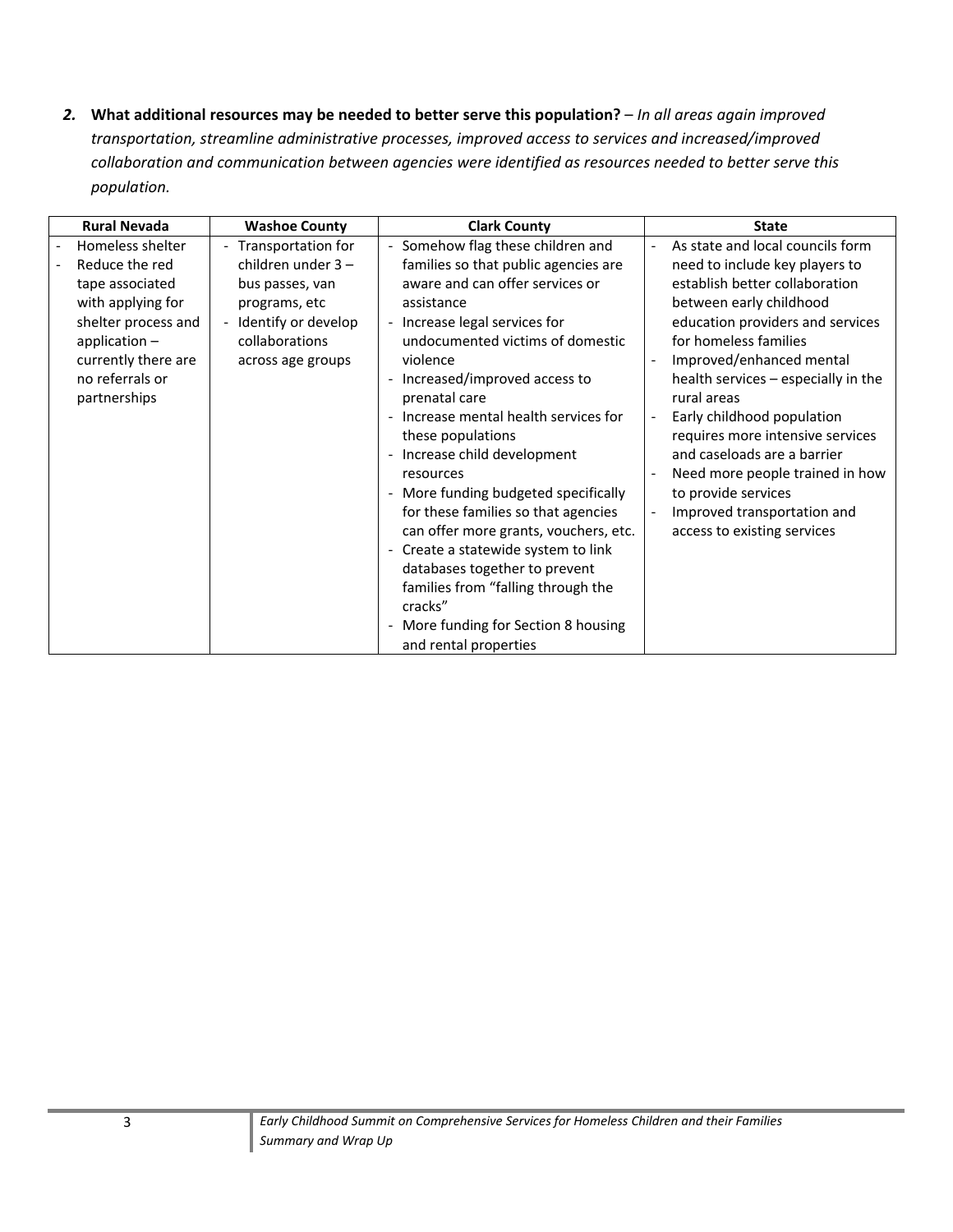*2.* **What additional resources may be needed to better serve this population?** – *In all areas again improved transportation, streamline administrative processes, improved access to services and increased/improved collaboration and communication between agencies were identified as resources needed to better serve this population.*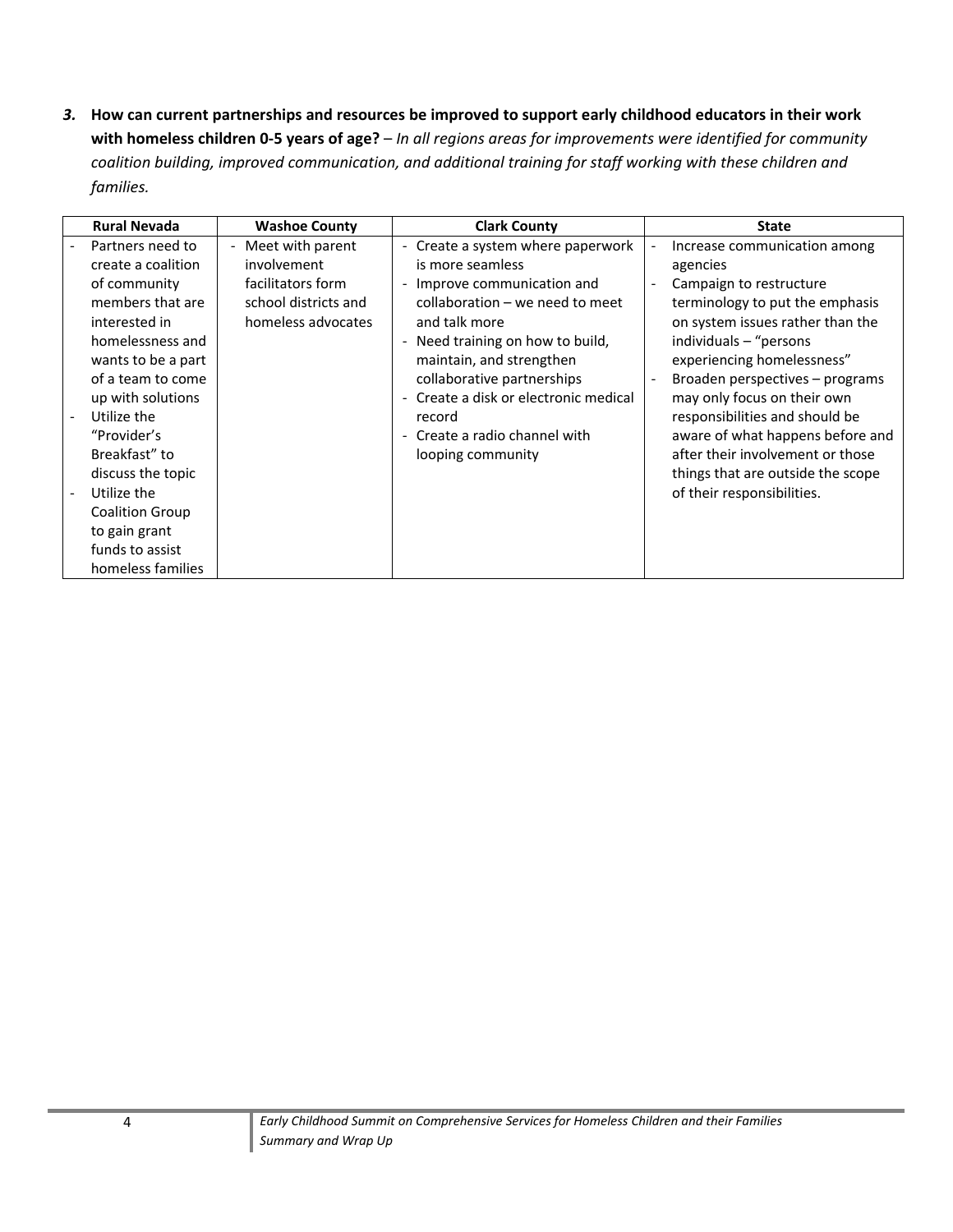3. How can current partnerships and resources be improved to support early childhood educators in their work with homeless children 0-5 years of age? - In all regions areas for improvements were identified for community *coalition building, improved communication, and additional training for staff working with these children and families.*

| <b>Rural Nevada</b>                                                                                                                                                                                                                                                                                                                                   | <b>Washoe County</b>                                                                                 | <b>Clark County</b>                                                                                                                                                                                                                                                                                                                                                                                                         | <b>State</b>                                                                                                                                                                                                                                                                                                                                                                                                                                                                  |
|-------------------------------------------------------------------------------------------------------------------------------------------------------------------------------------------------------------------------------------------------------------------------------------------------------------------------------------------------------|------------------------------------------------------------------------------------------------------|-----------------------------------------------------------------------------------------------------------------------------------------------------------------------------------------------------------------------------------------------------------------------------------------------------------------------------------------------------------------------------------------------------------------------------|-------------------------------------------------------------------------------------------------------------------------------------------------------------------------------------------------------------------------------------------------------------------------------------------------------------------------------------------------------------------------------------------------------------------------------------------------------------------------------|
| Partners need to<br>create a coalition<br>of community<br>members that are<br>interested in<br>homelessness and<br>wants to be a part<br>of a team to come<br>up with solutions<br>Utilize the<br>"Provider's<br>Breakfast" to<br>discuss the topic<br>Utilize the<br><b>Coalition Group</b><br>to gain grant<br>funds to assist<br>homeless families | - Meet with parent<br>involvement<br>facilitators form<br>school districts and<br>homeless advocates | Create a system where paperwork<br>$\overline{\phantom{a}}$<br>is more seamless<br>Improve communication and<br>$\overline{\phantom{0}}$<br>collaboration - we need to meet<br>and talk more<br>- Need training on how to build,<br>maintain, and strengthen<br>collaborative partnerships<br>Create a disk or electronic medical<br>record<br>Create a radio channel with<br>$\overline{\phantom{0}}$<br>looping community | Increase communication among<br>agencies<br>Campaign to restructure<br>$\overline{\phantom{a}}$<br>terminology to put the emphasis<br>on system issues rather than the<br>individuals - "persons<br>experiencing homelessness"<br>Broaden perspectives – programs<br>may only focus on their own<br>responsibilities and should be<br>aware of what happens before and<br>after their involvement or those<br>things that are outside the scope<br>of their responsibilities. |